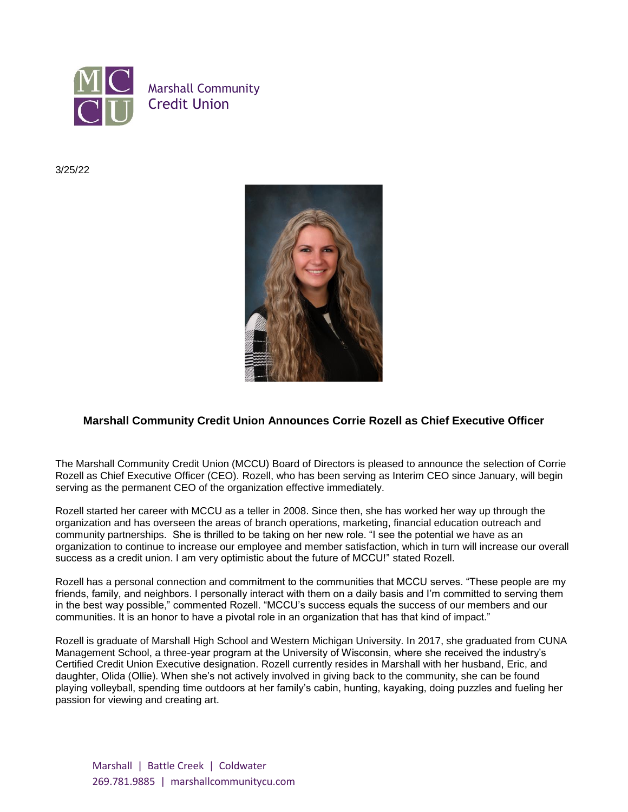

3/25/22



## **Marshall Community Credit Union Announces Corrie Rozell as Chief Executive Officer**

The Marshall Community Credit Union (MCCU) Board of Directors is pleased to announce the selection of Corrie Rozell as Chief Executive Officer (CEO). Rozell, who has been serving as Interim CEO since January, will begin serving as the permanent CEO of the organization effective immediately.

Rozell started her career with MCCU as a teller in 2008. Since then, she has worked her way up through the organization and has overseen the areas of branch operations, marketing, financial education outreach and community partnerships. She is thrilled to be taking on her new role. "I see the potential we have as an organization to continue to increase our employee and member satisfaction, which in turn will increase our overall success as a credit union. I am very optimistic about the future of MCCU!" stated Rozell.

Rozell has a personal connection and commitment to the communities that MCCU serves. "These people are my friends, family, and neighbors. I personally interact with them on a daily basis and I'm committed to serving them in the best way possible," commented Rozell. "MCCU's success equals the success of our members and our communities. It is an honor to have a pivotal role in an organization that has that kind of impact."

Rozell is graduate of Marshall High School and Western Michigan University. In 2017, she graduated from CUNA Management School, a three-year program at the University of Wisconsin, where she received the industry's Certified Credit Union Executive designation. Rozell currently resides in Marshall with her husband, Eric, and daughter, Olida (Ollie). When she's not actively involved in giving back to the community, she can be found playing volleyball, spending time outdoors at her family's cabin, hunting, kayaking, doing puzzles and fueling her passion for viewing and creating art.

Marshall | Battle Creek | Coldwater 269.781.9885 | marshallcommunitycu.com